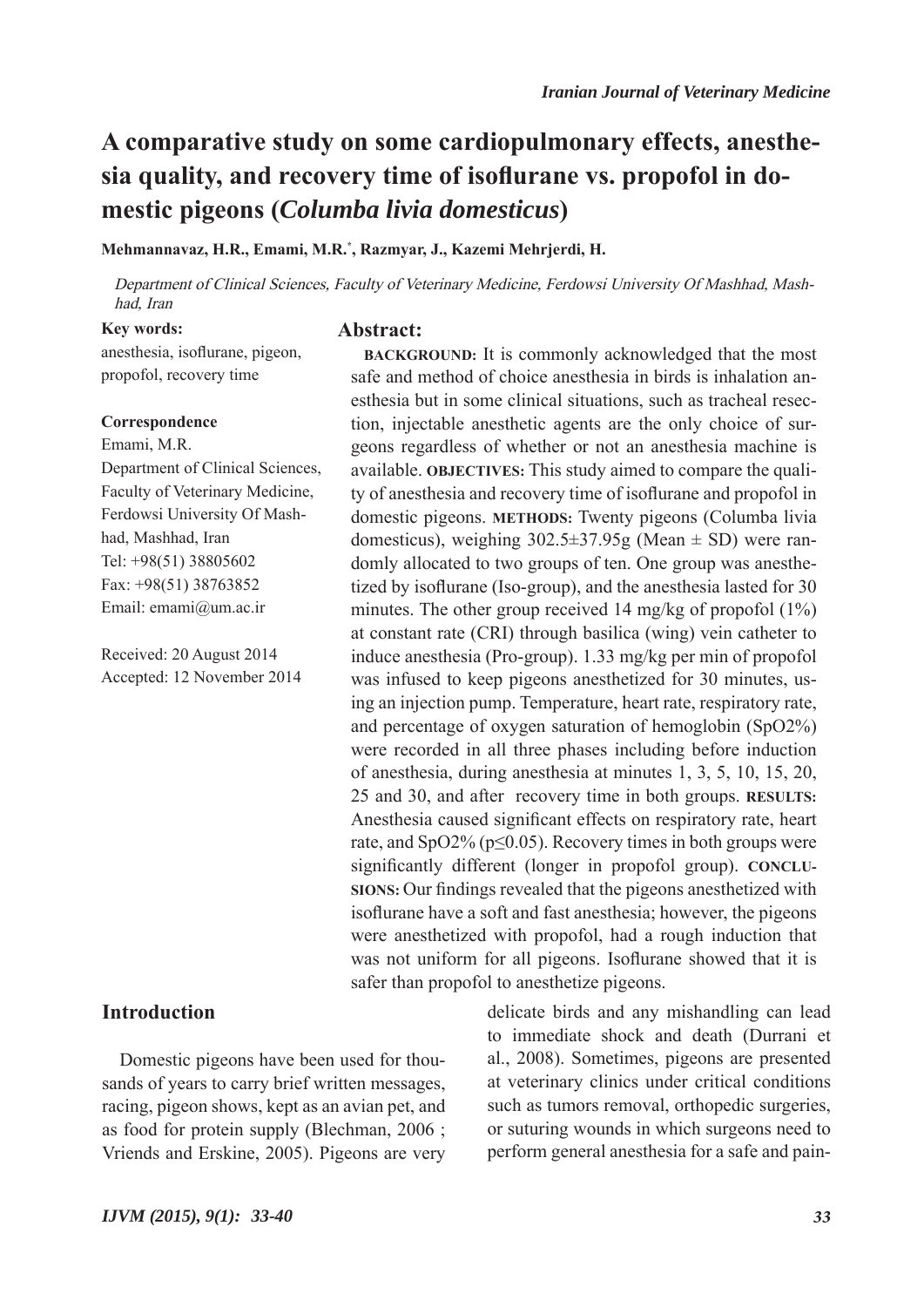# **A comparative study on some cardiopulmonary effects, anesthesia quality, and recovery time of isoflurane vs. propofol in domestic pigeons (***Columba livia domesticus***)**

**Mehmannavaz, H.R., Emami, M.R.\* , Razmyar, J., Kazemi Mehrjerdi, H.**

Department of Clinical Sciences, Faculty of Veterinary Medicine, Ferdowsi University Of Mashhad, Mashhad, Iran

> **BACKGROUND:** It is commonly acknowledged that the most safe and method of choice anesthesia in birds is inhalation anesthesia but in some clinical situations, such as tracheal resection, injectable anesthetic agents are the only choice of surgeons regardless of whether or not an anesthesia machine is available. **OBJECTIVES:** This study aimed to compare the quality of anesthesia and recovery time of isoflurane and propofol in domestic pigeons. **METHODS:** Twenty pigeons (Columba livia domesticus), weighing  $302.5 \pm 37.95$ g (Mean  $\pm$  SD) were randomly allocated to two groups of ten. One group was anesthetized by isoflurane (Iso-group), and the anesthesia lasted for 30 minutes. The other group received 14 mg/kg of propofol (1%) at constant rate (CRI) through basilica (wing) vein catheter to induce anesthesia (Pro-group). 1.33 mg/kg per min of propofol was infused to keep pigeons anesthetized for 30 minutes, using an injection pump. Temperature, heart rate, respiratory rate, and percentage of oxygen saturation of hemoglobin (SpO2%) were recorded in all three phases including before induction of anesthesia, during anesthesia at minutes 1, 3, 5, 10, 15, 20, 25 and 30, and after recovery time in both groups. **RESULTS:** Anesthesia caused significant effects on respiratory rate, heart rate, and  $SpO2\%$  ( $p \le 0.05$ ). Recovery times in both groups were significantly different (longer in propofol group). **CONCLU-SIONS:** Our findings revealed that the pigeons anesthetized with isoflurane have a soft and fast anesthesia; however, the pigeons were anesthetized with propofol, had a rough induction that was not uniform for all pigeons. Isoflurane showed that it is

#### **Key words:**

**Abstract:**

anesthesia, isoflurane, pigeon, propofol, recovery time

#### **Correspondence**

Emami, M.R. Department of Clinical Sciences, Faculty of Veterinary Medicine, Ferdowsi University Of Mashhad, Mashhad, Iran Tel: +98(51) 38805602 Fax: +98(51) 38763852 Email: emami@um.ac.ir

Received: 20 August 2014 Accepted: 12 November 2014

# **Introduction**

Domestic pigeons have been used for thousands of years to carry brief written messages, racing, pigeon shows, kept as an avian pet, and as food for protein supply (Blechman, 2006 ; Vriends and Erskine, 2005). Pigeons are very delicate birds and any mishandling can lead to immediate shock and death (Durrani et al., 2008). Sometimes, pigeons are presented at veterinary clinics under critical conditions such as tumors removal, orthopedic surgeries, or suturing wounds in which surgeons need to perform general anesthesia for a safe and pain-

safer than propofol to anesthetize pigeons.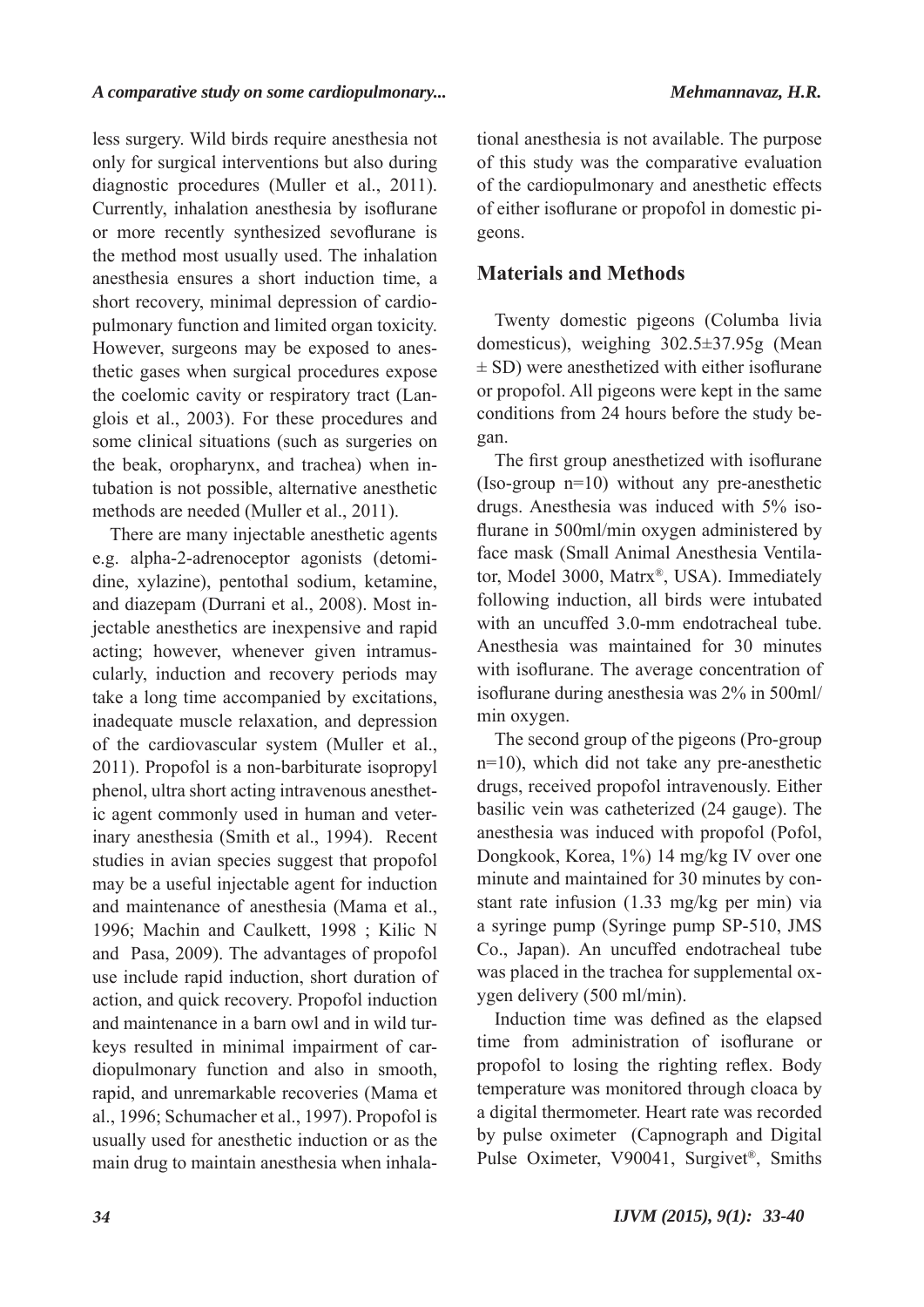less surgery. Wild birds require anesthesia not only for surgical interventions but also during diagnostic procedures (Muller et al., 2011). Currently, inhalation anesthesia by isoflurane or more recently synthesized sevoflurane is the method most usually used. The inhalation anesthesia ensures a short induction time, a short recovery, minimal depression of cardiopulmonary function and limited organ toxicity. However, surgeons may be exposed to anesthetic gases when surgical procedures expose the coelomic cavity or respiratory tract (Langlois et al., 2003). For these procedures and some clinical situations (such as surgeries on the beak, oropharynx, and trachea) when intubation is not possible, alternative anesthetic methods are needed (Muller et al., 2011).

There are many injectable anesthetic agents e.g. alpha-2-adrenoceptor agonists (detomidine, xylazine), pentothal sodium, ketamine, and diazepam (Durrani et al., 2008). Most injectable anesthetics are inexpensive and rapid acting; however, whenever given intramuscularly, induction and recovery periods may take a long time accompanied by excitations, inadequate muscle relaxation, and depression of the cardiovascular system (Muller et al., 2011). Propofol is a non-barbiturate isopropyl phenol, ultra short acting intravenous anesthetic agent commonly used in human and veterinary anesthesia (Smith et al., 1994). Recent studies in avian species suggest that propofol may be a useful injectable agent for induction and maintenance of anesthesia (Mama et al., 1996; Machin and Caulkett, 1998 ; Kilic N and Pasa, 2009). The advantages of propofol use include rapid induction, short duration of action, and quick recovery. Propofol induction and maintenance in a barn owl and in wild turkeys resulted in minimal impairment of cardiopulmonary function and also in smooth, rapid, and unremarkable recoveries (Mama et al., 1996; Schumacher et al., 1997). Propofol is usually used for anesthetic induction or as the main drug to maintain anesthesia when inhala-

tional anesthesia is not available. The purpose of this study was the comparative evaluation of the cardiopulmonary and anesthetic effects of either isoflurane or propofol in domestic pigeons.

# **Materials and Methods**

Twenty domestic pigeons (Columba livia domesticus), weighing 302.5±37.95g (Mean  $\pm$  SD) were anesthetized with either isoflurane or propofol. All pigeons were kept in the same conditions from 24 hours before the study began.

The first group anesthetized with isoflurane (Iso-group n=10) without any pre-anesthetic drugs. Anesthesia was induced with 5% isoflurane in 500ml/min oxygen administered by face mask (Small Animal Anesthesia Ventilator, Model 3000, Matrx®, USA). Immediately following induction, all birds were intubated with an uncuffed 3.0-mm endotracheal tube. Anesthesia was maintained for 30 minutes with isoflurane. The average concentration of isoflurane during anesthesia was 2% in 500ml/ min oxygen.

The second group of the pigeons (Pro-group n=10), which did not take any pre-anesthetic drugs, received propofol intravenously. Either basilic vein was catheterized (24 gauge). The anesthesia was induced with propofol (Pofol, Dongkook, Korea, 1%) 14 mg/kg IV over one minute and maintained for 30 minutes by constant rate infusion (1.33 mg/kg per min) via a syringe pump (Syringe pump SP-510, JMS Co., Japan). An uncuffed endotracheal tube was placed in the trachea for supplemental oxygen delivery (500 ml/min).

Induction time was defined as the elapsed time from administration of isoflurane or propofol to losing the righting reflex. Body temperature was monitored through cloaca by a digital thermometer. Heart rate was recorded by pulse oximeter (Capnograph and Digital Pulse Oximeter, V90041, Surgivet®, Smiths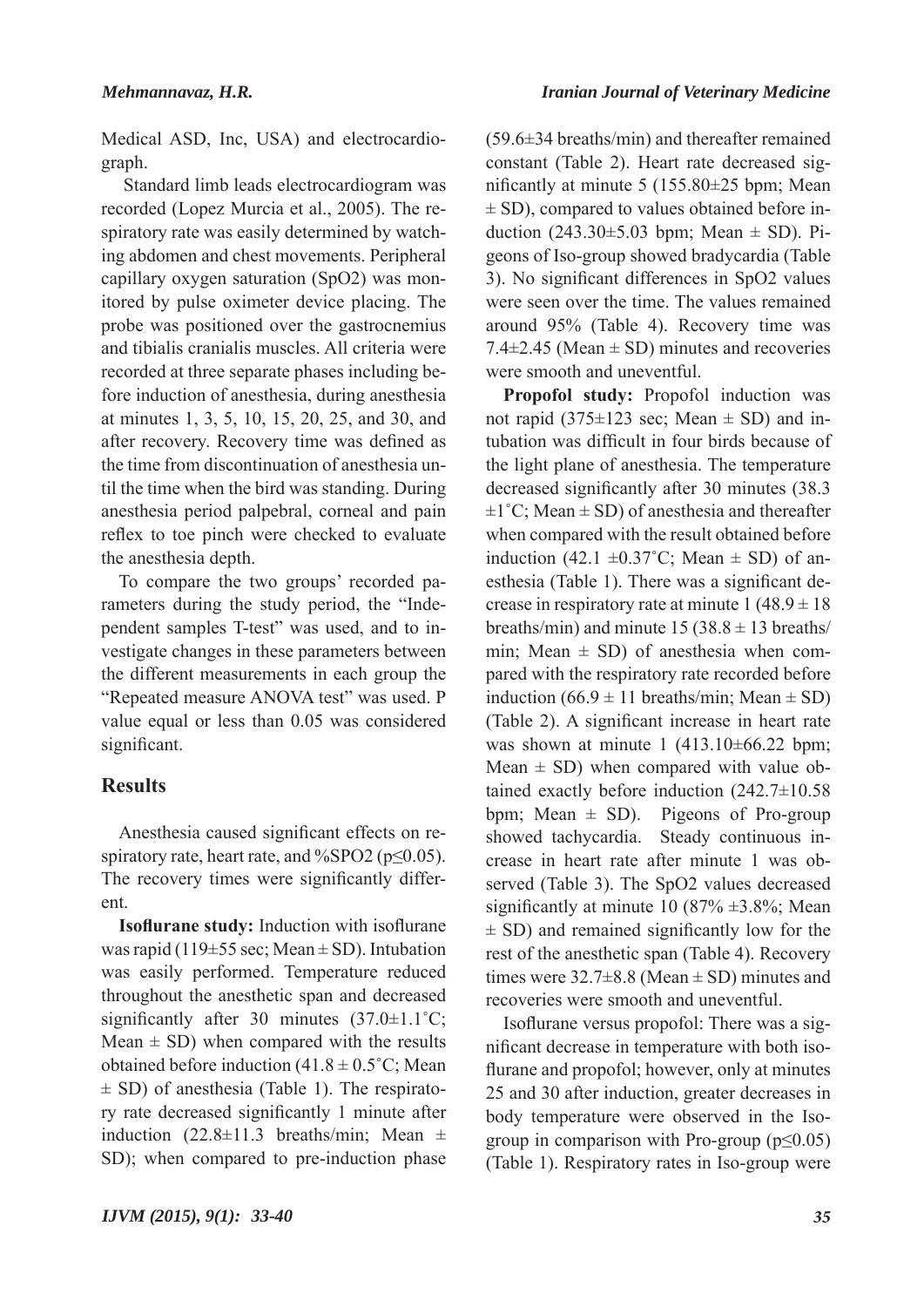Medical ASD, Inc, USA) and electrocardiograph.

 Standard limb leads electrocardiogram was recorded (Lopez Murcia et al., 2005). The respiratory rate was easily determined by watching abdomen and chest movements. Peripheral capillary oxygen saturation (SpO2) was monitored by pulse oximeter device placing. The probe was positioned over the gastrocnemius and tibialis cranialis muscles. All criteria were recorded at three separate phases including before induction of anesthesia, during anesthesia at minutes 1, 3, 5, 10, 15, 20, 25, and 30, and after recovery. Recovery time was defined as the time from discontinuation of anesthesia until the time when the bird was standing. During anesthesia period palpebral, corneal and pain reflex to toe pinch were checked to evaluate the anesthesia depth.

To compare the two groups' recorded parameters during the study period, the "Independent samples T-test" was used, and to investigate changes in these parameters between the different measurements in each group the "Repeated measure ANOVA test" was used. P value equal or less than 0.05 was considered significant.

# **Results**

Anesthesia caused significant effects on respiratory rate, heart rate, and %SPO2 ( $p \le 0.05$ ). The recovery times were significantly different.

**Isoflurane study:** Induction with isoflurane was rapid (119 $\pm$ 55 sec; Mean  $\pm$  SD). Intubation was easily performed. Temperature reduced throughout the anesthetic span and decreased significantly after 30 minutes  $(37.0 \pm 1.1^{\circ}\text{C})$ ; Mean  $\pm$  SD) when compared with the results obtained before induction  $(41.8 \pm 0.5^{\circ}C)$ ; Mean  $\pm$  SD) of anesthesia (Table 1). The respiratory rate decreased significantly 1 minute after induction  $(22.8 \pm 11.3$  breaths/min; Mean  $\pm$ SD); when compared to pre-induction phase

(59.6±34 breaths/min) and thereafter remained constant (Table 2). Heart rate decreased significantly at minute 5 (155.80±25 bpm; Mean  $\pm$  SD), compared to values obtained before induction  $(243.30\pm5.03$  bpm; Mean  $\pm$  SD). Pigeons of Iso-group showed bradycardia (Table 3). No significant differences in SpO2 values were seen over the time. The values remained around 95% (Table 4). Recovery time was 7.4 $\pm$ 2.45 (Mean  $\pm$  SD) minutes and recoveries were smooth and uneventful.

**Propofol study:** Propofol induction was not rapid (375 $\pm$ 123 sec; Mean  $\pm$  SD) and intubation was difficult in four birds because of the light plane of anesthesia. The temperature decreased significantly after 30 minutes (38.3  $\pm 1^{\circ}$ C; Mean  $\pm$  SD) of anesthesia and thereafter when compared with the result obtained before induction (42.1  $\pm 0.37^{\circ}$ C; Mean  $\pm$  SD) of anesthesia (Table 1). There was a significant decrease in respiratory rate at minute  $1 (48.9 \pm 18)$ breaths/min) and minute  $15 (38.8 \pm 13$  breaths/ min; Mean  $\pm$  SD) of anesthesia when compared with the respiratory rate recorded before induction  $(66.9 \pm 11 \text{ breaths/min}; \text{Mean} \pm \text{SD})$ (Table 2). A significant increase in heart rate was shown at minute 1 (413.10±66.22 bpm; Mean  $\pm$  SD) when compared with value obtained exactly before induction (242.7±10.58 bpm; Mean  $\pm$  SD). Pigeons of Pro-group showed tachycardia. Steady continuous increase in heart rate after minute 1 was observed (Table 3). The SpO2 values decreased significantly at minute 10 (87%  $\pm$ 3.8%; Mean  $\pm$  SD) and remained significantly low for the rest of the anesthetic span (Table 4). Recovery times were  $32.7\pm8.8$  (Mean  $\pm$  SD) minutes and recoveries were smooth and uneventful.

Isoflurane versus propofol: There was a significant decrease in temperature with both isoflurane and propofol; however, only at minutes 25 and 30 after induction, greater decreases in body temperature were observed in the Isogroup in comparison with Pro-group ( $p \leq 0.05$ ) (Table 1). Respiratory rates in Iso-group were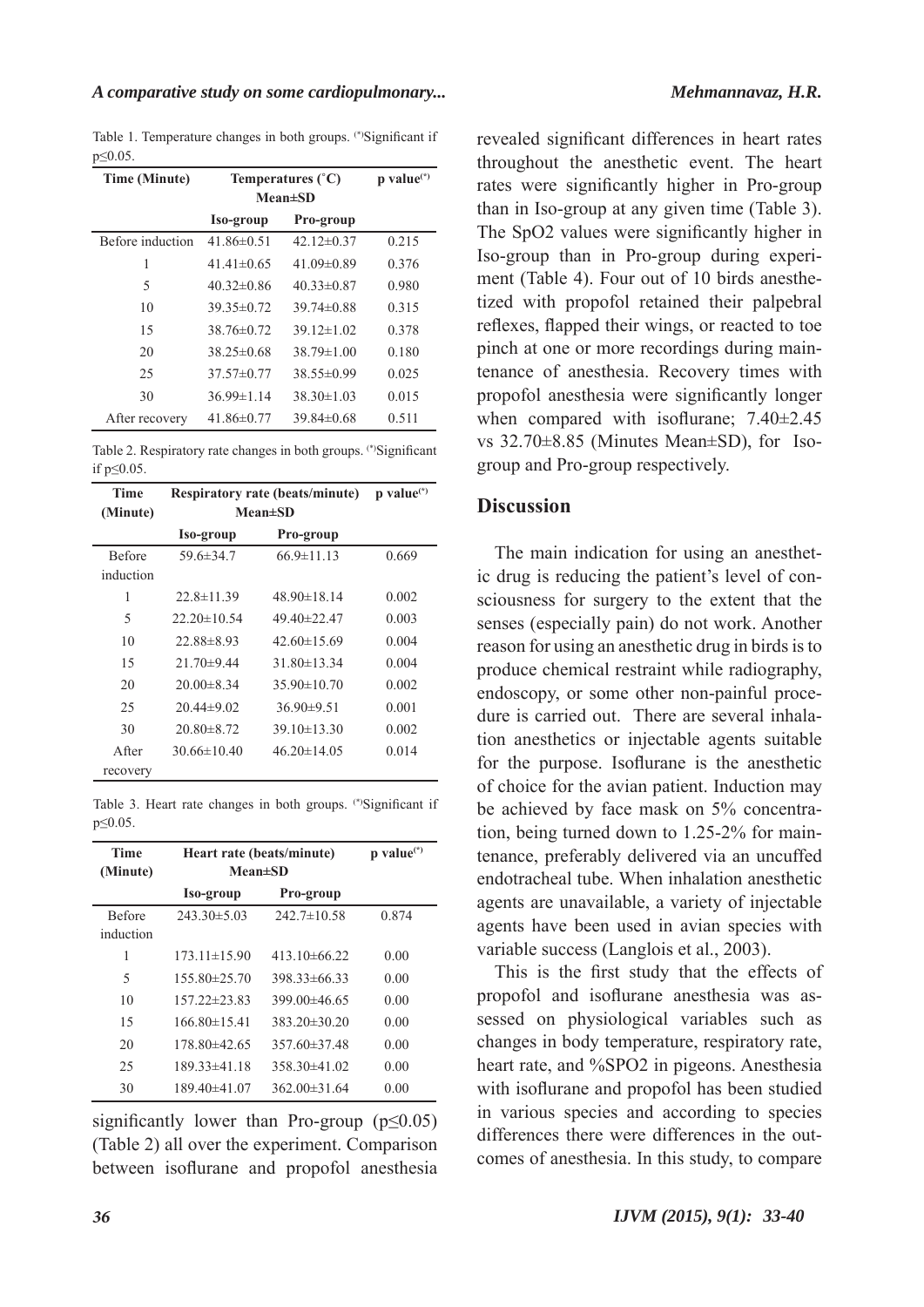Table 1. Temperature changes in both groups. (\*)Significant if p≤0.05.

| <b>Time (Minute)</b> | Temperatures $(^{\circ}C)$<br>$Mean \pm SD$ |                  | $p$ value <sup>(*)</sup> |
|----------------------|---------------------------------------------|------------------|--------------------------|
|                      | Iso-group                                   | Pro-group        |                          |
| Before induction     | 41.86 $\pm$ 0.51                            | 42.12 $\pm$ 0.37 | 0.215                    |
| 1                    | $41.41 \pm 0.65$                            | 41.09 $\pm$ 0.89 | 0.376                    |
| 5                    | $40.32\pm0.86$                              | $40.33 \pm 0.87$ | 0.980                    |
| 10                   | $39.35\pm0.72$                              | $39.74\pm0.88$   | 0.315                    |
| 15                   | $38.76\pm0.72$                              | $39.12 \pm 1.02$ | 0.378                    |
| 20                   | 38 $25\pm0.68$                              | 38 79 $\pm$ 1 00 | 0.180                    |
| 25                   | $37.57\pm0.77$                              | $38.55\pm0.99$   | 0.025                    |
| 30                   | $36.99 \pm 1.14$                            | $38.30 \pm 1.03$ | 0.015                    |
| After recovery       | $41.86 \pm 0.77$                            | $39.84\pm0.68$   | 0.511                    |

Table 2. Respiratory rate changes in both groups. (\*)Significant if p≤0.05.

| <b>Time</b>   | <b>Respiratory rate (beats/minute)</b> |                   | $p$ value $(*)$ |
|---------------|----------------------------------------|-------------------|-----------------|
| (Minute)      | <b>Mean±SD</b>                         |                   |                 |
|               | Iso-group                              | Pro-group         |                 |
| <b>Before</b> | $59.6 \pm 34.7$                        | $66.9 \pm 11.13$  | 0.669           |
| induction     |                                        |                   |                 |
| 1             | $22.8 \pm 11.39$                       | $48.90 \pm 18.14$ | 0.002           |
| 5             | $22.20 \pm 10.54$                      | $49.40\pm22.47$   | 0.003           |
| 10            | $22.88\pm8.93$                         | $42.60 \pm 15.69$ | 0.004           |
| 15            | $21.70\pm9.44$                         | $31.80 \pm 13.34$ | 0.004           |
| 20            | $20.00\pm8.34$                         | $35.90 \pm 10.70$ | 0.002           |
| 25            | $20.44\pm9.02$                         | $36.90\pm9.51$    | 0.001           |
| 30            | $20.80 \pm 8.72$                       | $39.10 \pm 13.30$ | 0.002           |
| A fter        | $30.66 \pm 10.40$                      | $46.20 \pm 14.05$ | 0.014           |
| recovery      |                                        |                   |                 |

Table 3. Heart rate changes in both groups. (\*)Significant if p≤0.05.

| <b>Time</b><br>(Minute)    | Heart rate (beats/minute)<br>$Mean \pm SD$ |                    | $p$ value <sup>(*)</sup> |
|----------------------------|--------------------------------------------|--------------------|--------------------------|
|                            | Iso-group                                  | Pro-group          |                          |
| <b>Before</b><br>induction | $243.30 \pm 5.03$                          | $242.7 \pm 10.58$  | 0.874                    |
| 1                          | $173.11 \pm 15.90$                         | $413.10\pm 66.22$  | 0.00                     |
| 5                          | $155.80\pm25.70$                           | $39833\pm 6633$    | 0.00                     |
| 10                         | $157.22 \pm 23.83$                         | $399.00 \pm 46.65$ | 0.00                     |
| 15                         | $166.80\pm15.41$                           | $383.20 \pm 30.20$ | 0.00                     |
| 20                         | 178.80±42.65                               | $357.60 \pm 37.48$ | 0.00                     |
| 25                         | 189.33±41.18                               | $358.30\pm41.02$   | 0.00                     |
| 30                         | 189.40±41.07                               | $362.00\pm31.64$   | 0.00                     |

significantly lower than Pro-group ( $p \le 0.05$ ) (Table 2) all over the experiment. Comparison between isoflurane and propofol anesthesia

revealed significant differences in heart rates throughout the anesthetic event. The heart rates were significantly higher in Pro-group than in Iso-group at any given time (Table 3). The SpO2 values were significantly higher in Iso-group than in Pro-group during experiment (Table 4). Four out of 10 birds anesthetized with propofol retained their palpebral reflexes, flapped their wings, or reacted to toe pinch at one or more recordings during maintenance of anesthesia. Recovery times with propofol anesthesia were significantly longer when compared with isoflurane; 7.40±2.45 vs 32.70±8.85 (Minutes Mean±SD), for Isogroup and Pro-group respectively.

# **Discussion**

The main indication for using an anesthetic drug is reducing the patient's level of consciousness for surgery to the extent that the senses (especially pain) do not work. Another reason for using an anesthetic drug in birds is to produce chemical restraint while radiography, endoscopy, or some other non-painful procedure is carried out. There are several inhalation anesthetics or injectable agents suitable for the purpose. Isoflurane is the anesthetic of choice for the avian patient. Induction may be achieved by face mask on 5% concentration, being turned down to 1.25-2% for maintenance, preferably delivered via an uncuffed endotracheal tube. When inhalation anesthetic agents are unavailable, a variety of injectable agents have been used in avian species with variable success (Langlois et al., 2003).

This is the first study that the effects of propofol and isoflurane anesthesia was assessed on physiological variables such as changes in body temperature, respiratory rate, heart rate, and %SPO2 in pigeons. Anesthesia with isoflurane and propofol has been studied in various species and according to species differences there were differences in the outcomes of anesthesia. In this study, to compare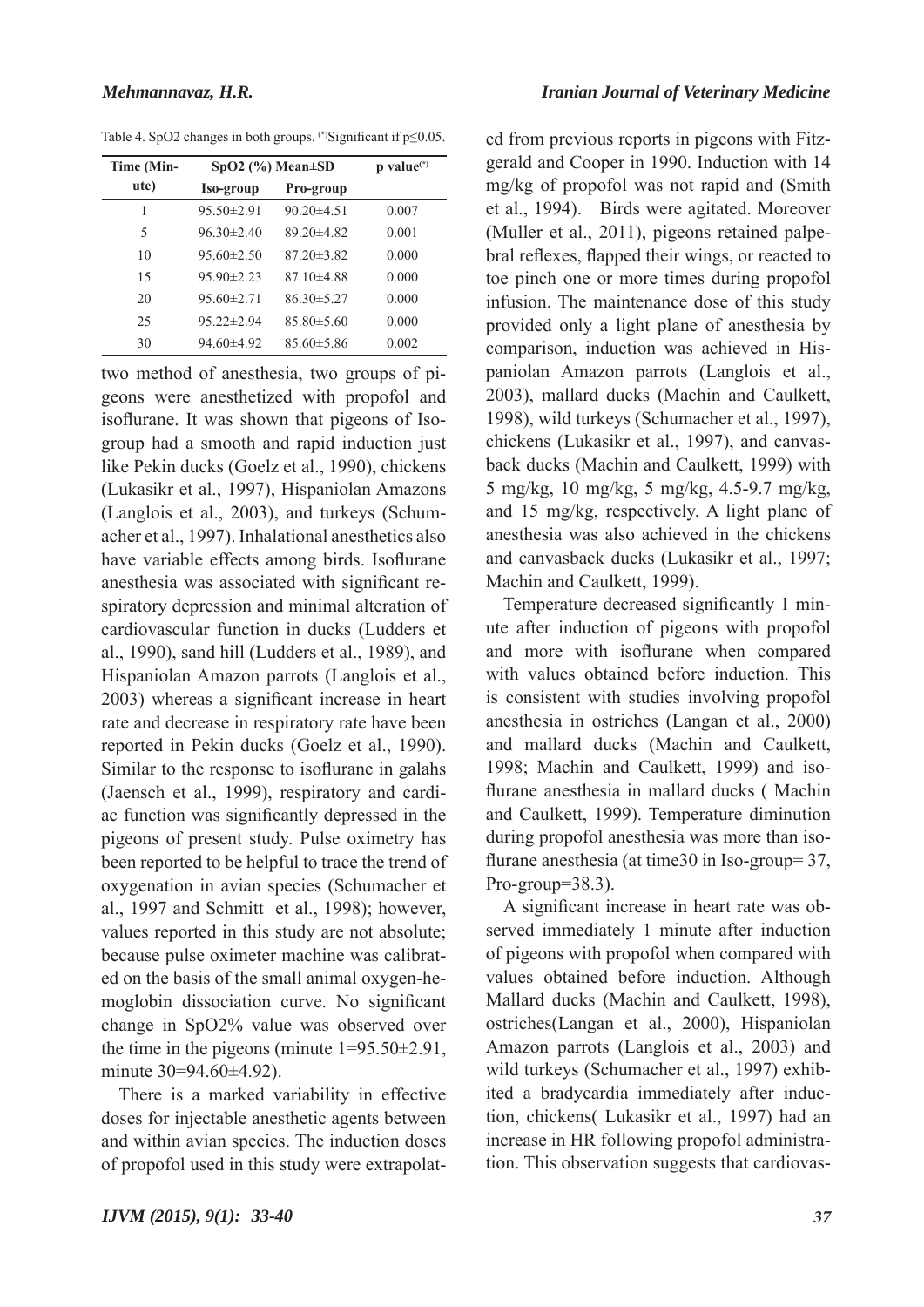| Time (Min- | $SpO2$ (%) Mean $\pm SD$ |                  | $p$ value $(*)$ |
|------------|--------------------------|------------------|-----------------|
| ute)       | Iso-group                | Pro-group        |                 |
| 1          | $95.50 \pm 2.91$         | $90.20 \pm 4.51$ | 0.007           |
| 5          | $96.30 \pm 2.40$         | $8920\pm482$     | 0.001           |
| 10         | $9560\pm2.50$            | $8720\pm382$     | 0.000           |
| 15         | $9590\pm2.23$            | $8710\pm488$     | 0.000           |
| 20         | $9560\pm2.71$            | $8630\pm527$     | 0.000           |
| 25         | $95.22 \pm 2.94$         | $85.80 \pm 5.60$ | 0.000           |
| 30         | $94.60\pm4.92$           | $85.60 \pm 5.86$ | 0.002           |

Table 4. SpO2 changes in both groups. (\*)Significant if p≤0.05.

two method of anesthesia, two groups of pigeons were anesthetized with propofol and isoflurane. It was shown that pigeons of Isogroup had a smooth and rapid induction just like Pekin ducks (Goelz et al., 1990), chickens (Lukasikr et al., 1997), Hispaniolan Amazons (Langlois et al., 2003), and turkeys (Schumacher et al., 1997). Inhalational anesthetics also have variable effects among birds. Isoflurane anesthesia was associated with significant respiratory depression and minimal alteration of cardiovascular function in ducks (Ludders et al., 1990), sand hill (Ludders et al., 1989), and Hispaniolan Amazon parrots (Langlois et al., 2003) whereas a significant increase in heart rate and decrease in respiratory rate have been reported in Pekin ducks (Goelz et al., 1990). Similar to the response to isoflurane in galahs (Jaensch et al., 1999), respiratory and cardiac function was significantly depressed in the pigeons of present study. Pulse oximetry has been reported to be helpful to trace the trend of oxygenation in avian species (Schumacher et al., 1997 and Schmitt et al., 1998); however, values reported in this study are not absolute; because pulse oximeter machine was calibrated on the basis of the small animal oxygen-hemoglobin dissociation curve. No significant change in SpO2% value was observed over the time in the pigeons (minute  $1=95.50\pm2.91$ , minute 30=94.60±4.92).

There is a marked variability in effective doses for injectable anesthetic agents between and within avian species. The induction doses of propofol used in this study were extrapolated from previous reports in pigeons with Fitzgerald and Cooper in 1990. Induction with 14 mg/kg of propofol was not rapid and (Smith et al., 1994). Birds were agitated. Moreover (Muller et al., 2011), pigeons retained palpebral reflexes, flapped their wings, or reacted to toe pinch one or more times during propofol infusion. The maintenance dose of this study provided only a light plane of anesthesia by comparison, induction was achieved in Hispaniolan Amazon parrots (Langlois et al., 2003), mallard ducks (Machin and Caulkett, 1998), wild turkeys (Schumacher et al., 1997), chickens (Lukasikr et al., 1997), and canvasback ducks (Machin and Caulkett, 1999) with 5 mg/kg, 10 mg/kg, 5 mg/kg, 4.5-9.7 mg/kg, and 15 mg/kg, respectively. A light plane of anesthesia was also achieved in the chickens and canvasback ducks (Lukasikr et al., 1997; Machin and Caulkett, 1999).

Temperature decreased significantly 1 minute after induction of pigeons with propofol and more with isoflurane when compared with values obtained before induction. This is consistent with studies involving propofol anesthesia in ostriches (Langan et al., 2000) and mallard ducks (Machin and Caulkett, 1998; Machin and Caulkett, 1999) and isoflurane anesthesia in mallard ducks ( Machin and Caulkett, 1999). Temperature diminution during propofol anesthesia was more than isoflurane anesthesia (at time30 in Iso-group= 37, Pro-group=38.3).

A significant increase in heart rate was observed immediately 1 minute after induction of pigeons with propofol when compared with values obtained before induction. Although Mallard ducks (Machin and Caulkett, 1998), ostriches(Langan et al., 2000), Hispaniolan Amazon parrots (Langlois et al., 2003) and wild turkeys (Schumacher et al., 1997) exhibited a bradycardia immediately after induction, chickens( Lukasikr et al., 1997) had an increase in HR following propofol administration. This observation suggests that cardiovas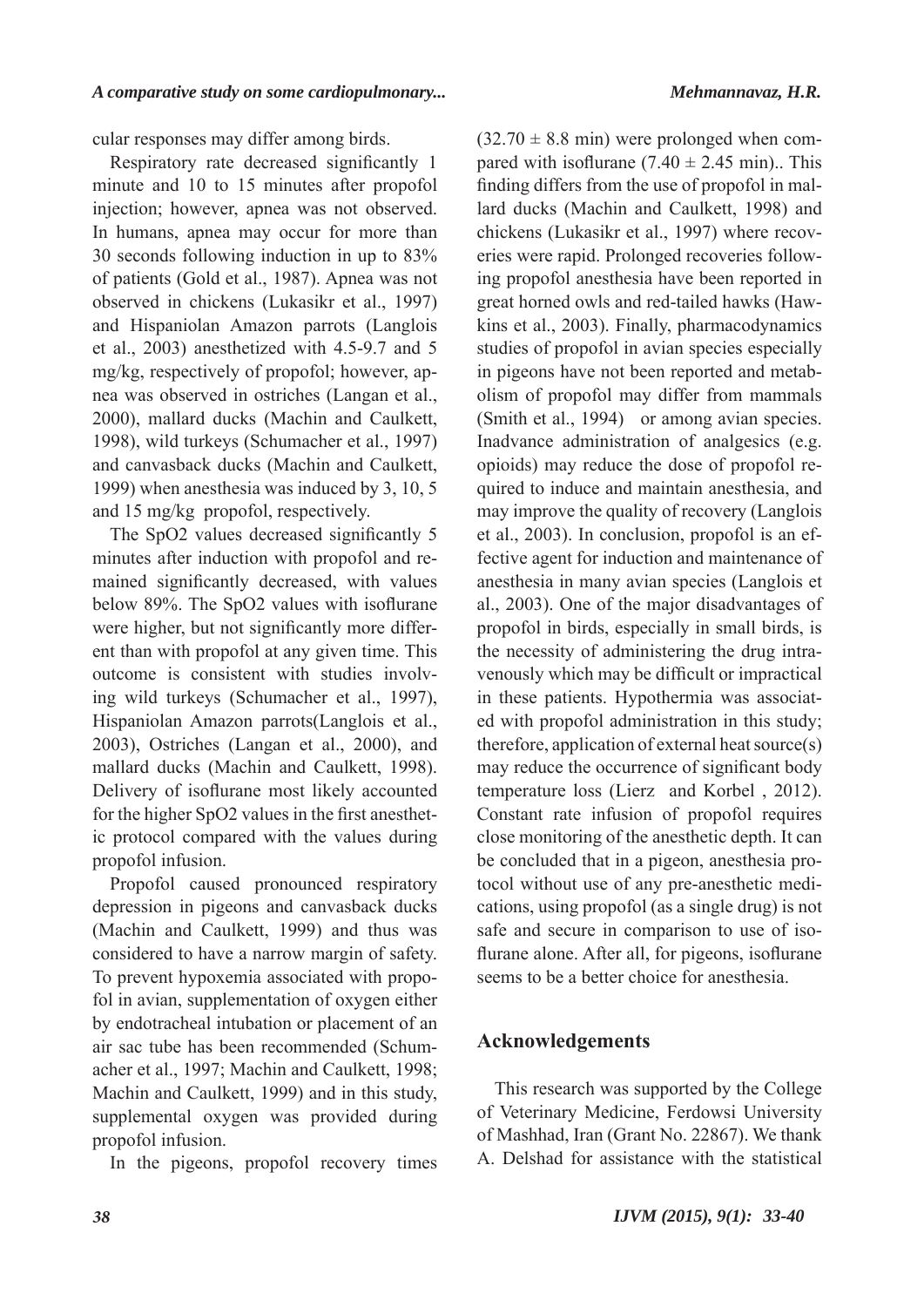cular responses may differ among birds.

Respiratory rate decreased significantly 1 minute and 10 to 15 minutes after propofol injection; however, apnea was not observed. In humans, apnea may occur for more than 30 seconds following induction in up to 83% of patients (Gold et al., 1987). Apnea was not observed in chickens (Lukasikr et al., 1997) and Hispaniolan Amazon parrots (Langlois et al., 2003) anesthetized with 4.5-9.7 and 5 mg/kg, respectively of propofol; however, apnea was observed in ostriches (Langan et al., 2000), mallard ducks (Machin and Caulkett, 1998), wild turkeys (Schumacher et al., 1997) and canvasback ducks (Machin and Caulkett, 1999) when anesthesia was induced by 3, 10, 5 and 15 mg/kg propofol, respectively.

The SpO2 values decreased significantly 5 minutes after induction with propofol and remained significantly decreased, with values below 89%. The SpO2 values with isoflurane were higher, but not significantly more different than with propofol at any given time. This outcome is consistent with studies involving wild turkeys (Schumacher et al., 1997), Hispaniolan Amazon parrots(Langlois et al., 2003), Ostriches (Langan et al., 2000), and mallard ducks (Machin and Caulkett, 1998). Delivery of isoflurane most likely accounted for the higher SpO2 values in the first anesthetic protocol compared with the values during propofol infusion.

Propofol caused pronounced respiratory depression in pigeons and canvasback ducks (Machin and Caulkett, 1999) and thus was considered to have a narrow margin of safety. To prevent hypoxemia associated with propofol in avian, supplementation of oxygen either by endotracheal intubation or placement of an air sac tube has been recommended (Schumacher et al., 1997; Machin and Caulkett, 1998; Machin and Caulkett, 1999) and in this study, supplemental oxygen was provided during propofol infusion.

In the pigeons, propofol recovery times

 $(32.70 \pm 8.8 \text{ min})$  were prolonged when compared with isoflurane  $(7.40 \pm 2.45 \text{ min})$ .. This finding differs from the use of propofol in mallard ducks (Machin and Caulkett, 1998) and chickens (Lukasikr et al., 1997) where recoveries were rapid. Prolonged recoveries following propofol anesthesia have been reported in great horned owls and red-tailed hawks (Hawkins et al., 2003). Finally, pharmacodynamics studies of propofol in avian species especially in pigeons have not been reported and metabolism of propofol may differ from mammals (Smith et al., 1994) or among avian species. Inadvance administration of analgesics (e.g. opioids) may reduce the dose of propofol required to induce and maintain anesthesia, and may improve the quality of recovery (Langlois et al., 2003). In conclusion, propofol is an effective agent for induction and maintenance of anesthesia in many avian species (Langlois et al., 2003). One of the major disadvantages of propofol in birds, especially in small birds, is the necessity of administering the drug intravenously which may be difficult or impractical in these patients. Hypothermia was associated with propofol administration in this study; therefore, application of external heat source(s) may reduce the occurrence of significant body temperature loss (Lierz and Korbel , 2012). Constant rate infusion of propofol requires close monitoring of the anesthetic depth. It can be concluded that in a pigeon, anesthesia protocol without use of any pre-anesthetic medications, using propofol (as a single drug) is not safe and secure in comparison to use of isoflurane alone. After all, for pigeons, isoflurane seems to be a better choice for anesthesia.

# **Acknowledgements**

This research was supported by the College of Veterinary Medicine, Ferdowsi University of Mashhad, Iran (Grant No. 22867). We thank A. Delshad for assistance with the statistical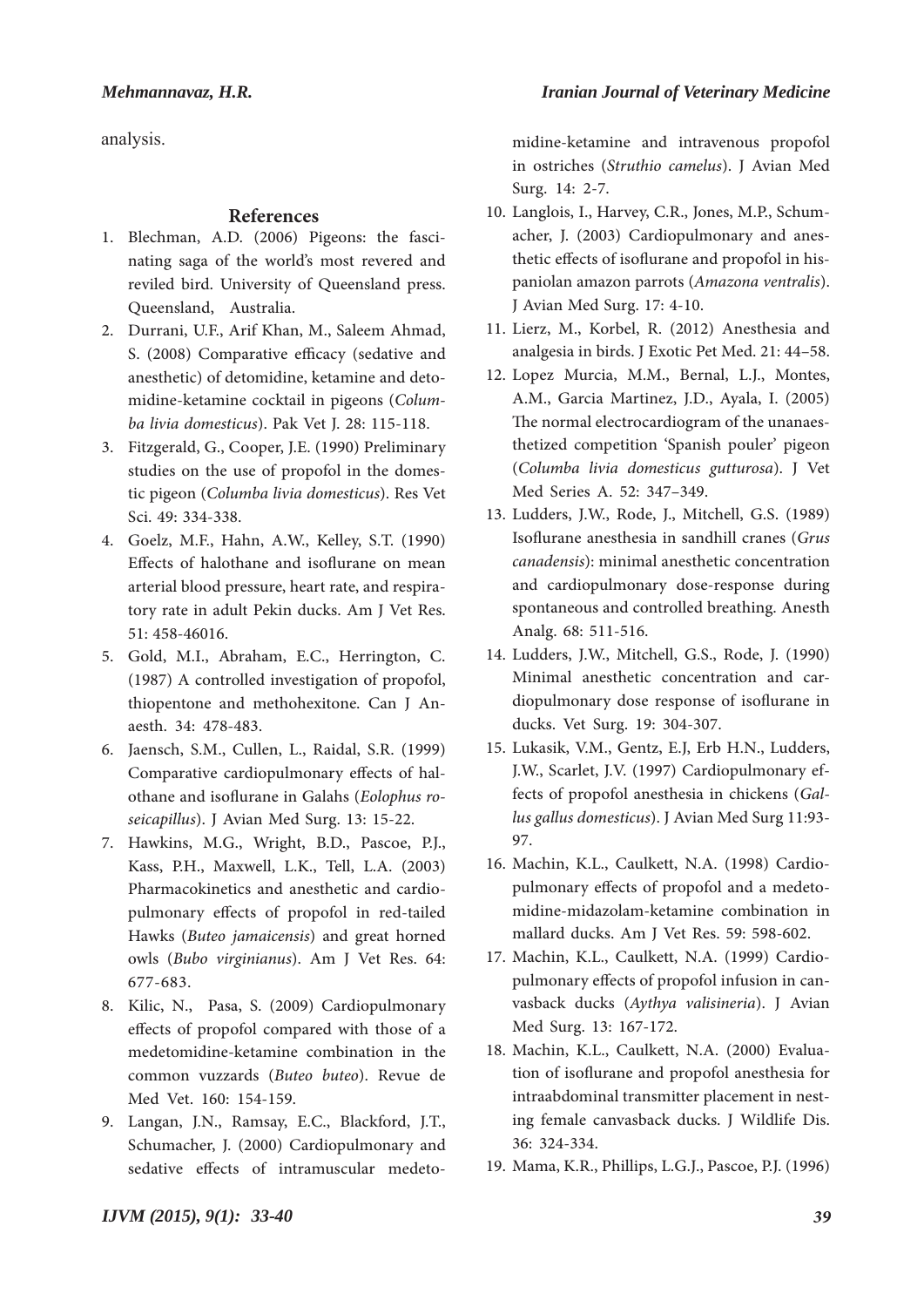analysis.

## **References**

- 1. Blechman, A.D. (2006) Pigeons: the fascinating saga of the world's most revered and reviled bird. University of Queensland press. Queensland, Australia.
- 2. Durrani, U.F., Arif Khan, M., Saleem Ahmad, S. (2008) Comparative efficacy (sedative and anesthetic) of detomidine, ketamine and detomidine-ketamine cocktail in pigeons (*Columba livia domesticus*). Pak Vet J. 28: 115-118.
- Fitzgerald, G., Cooper, J.E. (1990) Preliminary 3. studies on the use of propofol in the domestic pigeon (*Columba livia domesticus*). Res Vet Sci. 49: 334-338.
- Goelz, M.F., Hahn, A.W., Kelley, S.T. (1990) 4. Effects of halothane and isoflurane on mean arterial blood pressure, heart rate, and respiratory rate in adult Pekin ducks. Am J Vet Res. 51: 458-46016.
- Gold, M.I., Abraham, E.C., Herrington, C. 5. (1987) A controlled investigation of propofol, thiopentone and methohexitone. Can J Anaesth. 34: 478-483.
- 6. Jaensch, S.M., Cullen, L., Raidal, S.R. (1999) Comparative cardiopulmonary effects of halothane and isoflurane in Galahs (*Eolophus roseicapillus*). J Avian Med Surg. 13: 15-22.
- 7. Hawkins, M.G., Wright, B.D., Pascoe, P.J., Kass, P.H., Maxwell, L.K., Tell, L.A. (2003) Pharmacokinetics and anesthetic and cardiopulmonary effects of propofol in red-tailed Hawks (*Buteo jamaicensis*) and great horned owls (*Bubo virginianus*). Am J Vet Res. 64: 677-683.
- 8. Kilic, N., Pasa, S. (2009) Cardiopulmonary effects of propofol compared with those of a medetomidine-ketamine combination in the common vuzzards (*Buteo buteo*). Revue de Med Vet. 160: 154-159.
- Langan, J.N., Ramsay, E.C., Blackford, J.T., 9. Schumacher, J. (2000) Cardiopulmonary and sedative effects of intramuscular medeto-

midine-ketamine and intravenous propofol in ostriches (*Struthio camelus*). J Avian Med Surg. 14: 2-7.

- 10. Langlois, I., Harvey, C.R., Jones, M.P., Schumacher, J. (2003) Cardiopulmonary and anesthetic effects of isoflurane and propofol in hispaniolan amazon parrots (*Amazona ventralis*). J Avian Med Surg. 17: 4-10.
- 11. Lierz, M., Korbel, R. (2012) Anesthesia and analgesia in birds. J Exotic Pet Med. 21: 44–58.
- 12. Lopez Murcia, M.M., Bernal, L.J., Montes, A.M., Garcia Martinez, J.D., Ayala, I. (2005) The normal electrocardiogram of the unanaesthetized competition 'Spanish pouler' pigeon (*Columba livia domesticus gutturosa*). J Vet Med Series A. 52: 347–349.
- 13. Ludders, J.W., Rode, J., Mitchell, G.S. (1989) Isoflurane anesthesia in sandhill cranes (*Grus canadensis*): minimal anesthetic concentration and cardiopulmonary dose-response during spontaneous and controlled breathing. Anesth Analg. 68: 511-516.
- Ludders, J.W., Mitchell, G.S., Rode, J. (1990) 14. Minimal anesthetic concentration and cardiopulmonary dose response of isoflurane in ducks. Vet Surg. 19: 304-307.
- 15. Lukasik, V.M., Gentz, E.J, Erb H.N., Ludders, J.W., Scarlet, J.V. (1997) Cardiopulmonary effects of propofol anesthesia in chickens (*Gallus gallus domesticus*). J Avian Med Surg 11:93- 97.
- 16. Machin, K.L., Caulkett, N.A. (1998) Cardiopulmonary effects of propofol and a medetomidine-midazolam-ketamine combination in mallard ducks. Am J Vet Res. 59: 598-602.
- 17. Machin, K.L., Caulkett, N.A. (1999) Cardiopulmonary effects of propofol infusion in canvasback ducks (*Aythya valisineria*). J Avian Med Surg. 13: 167-172.
- 18. Machin, K.L., Caulkett, N.A. (2000) Evaluation of isoflurane and propofol anesthesia for intraabdominal transmitter placement in nesting female canvasback ducks. J Wildlife Dis. 36: 324-334.
- Mama, K.R., Phillips, L.G.J., Pascoe, P.J. (1996) 19.